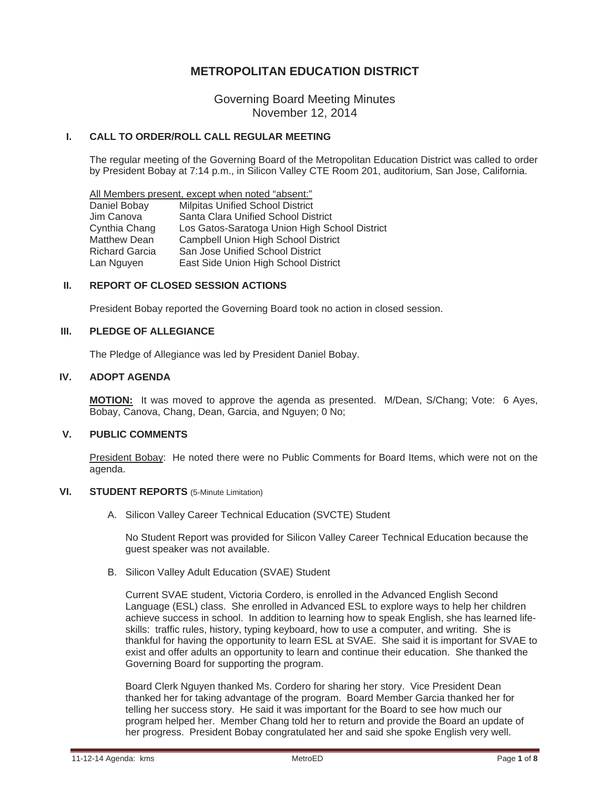# **METROPOLITAN EDUCATION DISTRICT**

Governing Board Meeting Minutes November 12, 2014

# **I. CALL TO ORDER/ROLL CALL REGULAR MEETING**

The regular meeting of the Governing Board of the Metropolitan Education District was called to order by President Bobay at 7:14 p.m., in Silicon Valley CTE Room 201, auditorium, San Jose, California.

All Members present, except when noted "absent:" Daniel Bobay Milpitas Unified School District Jim Canova Santa Clara Unified School District Cynthia Chang Los Gatos-Saratoga Union High School District Matthew Dean Campbell Union High School District Richard Garcia San Jose Unified School District Lan Nguyen East Side Union High School District

### **II. REPORT OF CLOSED SESSION ACTIONS**

President Bobay reported the Governing Board took no action in closed session.

# **III. PLEDGE OF ALLEGIANCE**

The Pledge of Allegiance was led by President Daniel Bobay.

### **IV. ADOPT AGENDA**

**MOTION:** It was moved to approve the agenda as presented. M/Dean, S/Chang; Vote: 6 Ayes, Bobay, Canova, Chang, Dean, Garcia, and Nguyen; 0 No;

### **V. PUBLIC COMMENTS**

President Bobay: He noted there were no Public Comments for Board Items, which were not on the agenda.

#### **VI. STUDENT REPORTS** (5-Minute Limitation)

A. Silicon Valley Career Technical Education (SVCTE) Student

No Student Report was provided for Silicon Valley Career Technical Education because the guest speaker was not available.

B. Silicon Valley Adult Education (SVAE) Student

Current SVAE student, Victoria Cordero, is enrolled in the Advanced English Second Language (ESL) class. She enrolled in Advanced ESL to explore ways to help her children achieve success in school. In addition to learning how to speak English, she has learned lifeskills: traffic rules, history, typing keyboard, how to use a computer, and writing. She is thankful for having the opportunity to learn ESL at SVAE. She said it is important for SVAE to exist and offer adults an opportunity to learn and continue their education. She thanked the Governing Board for supporting the program.

Board Clerk Nguyen thanked Ms. Cordero for sharing her story. Vice President Dean thanked her for taking advantage of the program. Board Member Garcia thanked her for telling her success story. He said it was important for the Board to see how much our program helped her. Member Chang told her to return and provide the Board an update of her progress. President Bobay congratulated her and said she spoke English very well.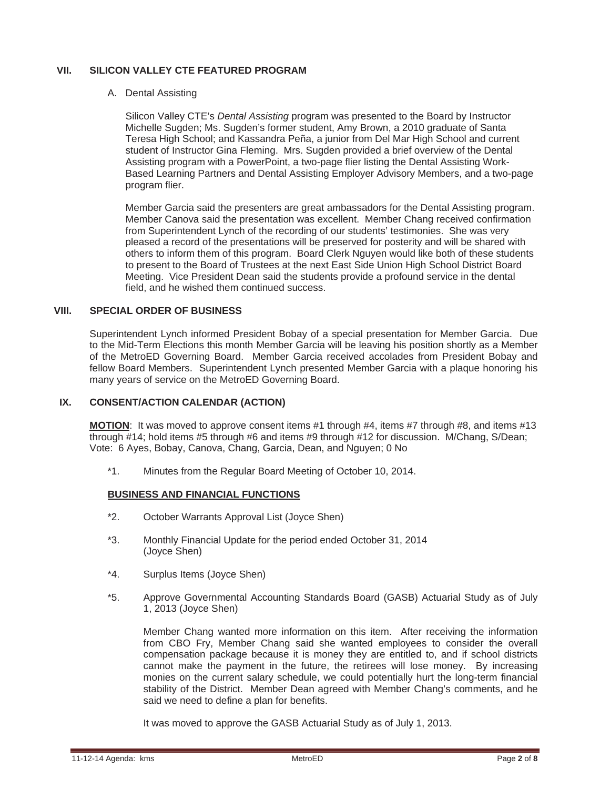# **VII. SILICON VALLEY CTE FEATURED PROGRAM**

A. Dental Assisting

Silicon Valley CTE's *Dental Assisting* program was presented to the Board by Instructor Michelle Sugden; Ms. Sugden's former student, Amy Brown, a 2010 graduate of Santa Teresa High School; and Kassandra Peña, a junior from Del Mar High School and current student of Instructor Gina Fleming. Mrs. Sugden provided a brief overview of the Dental Assisting program with a PowerPoint, a two-page flier listing the Dental Assisting Work-Based Learning Partners and Dental Assisting Employer Advisory Members, and a two-page program flier.

Member Garcia said the presenters are great ambassadors for the Dental Assisting program. Member Canova said the presentation was excellent. Member Chang received confirmation from Superintendent Lynch of the recording of our students' testimonies. She was very pleased a record of the presentations will be preserved for posterity and will be shared with others to inform them of this program. Board Clerk Nguyen would like both of these students to present to the Board of Trustees at the next East Side Union High School District Board Meeting. Vice President Dean said the students provide a profound service in the dental field, and he wished them continued success.

# **VIII. SPECIAL ORDER OF BUSINESS**

Superintendent Lynch informed President Bobay of a special presentation for Member Garcia. Due to the Mid-Term Elections this month Member Garcia will be leaving his position shortly as a Member of the MetroED Governing Board. Member Garcia received accolades from President Bobay and fellow Board Members. Superintendent Lynch presented Member Garcia with a plaque honoring his many years of service on the MetroED Governing Board.

### **IX. CONSENT/ACTION CALENDAR (ACTION)**

**MOTION**: It was moved to approve consent items #1 through #4, items #7 through #8, and items #13 through #14; hold items #5 through #6 and items #9 through #12 for discussion. M/Chang, S/Dean; Vote: 6 Ayes, Bobay, Canova, Chang, Garcia, Dean, and Nguyen; 0 No

\*1. Minutes from the Regular Board Meeting of October 10, 2014.

### **BUSINESS AND FINANCIAL FUNCTIONS**

- \*2. October Warrants Approval List (Joyce Shen)
- \*3. Monthly Financial Update for the period ended October 31, 2014 (Joyce Shen)
- \*4. Surplus Items (Joyce Shen)
- \*5. Approve Governmental Accounting Standards Board (GASB) Actuarial Study as of July 1, 2013 (Joyce Shen)

 Member Chang wanted more information on this item. After receiving the information from CBO Fry, Member Chang said she wanted employees to consider the overall compensation package because it is money they are entitled to, and if school districts cannot make the payment in the future, the retirees will lose money. By increasing monies on the current salary schedule, we could potentially hurt the long-term financial stability of the District. Member Dean agreed with Member Chang's comments, and he said we need to define a plan for benefits.

It was moved to approve the GASB Actuarial Study as of July 1, 2013.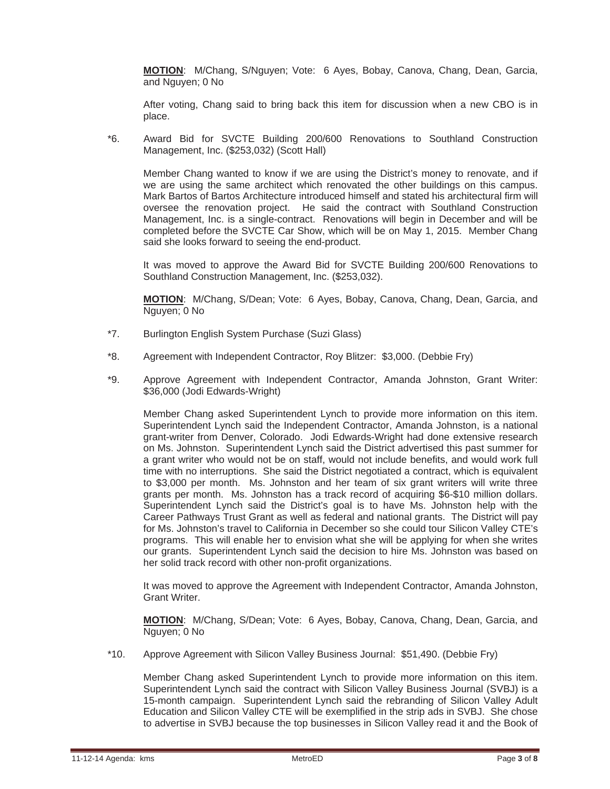**MOTION**: M/Chang, S/Nguyen; Vote: 6 Ayes, Bobay, Canova, Chang, Dean, Garcia, and Nguyen; 0 No

After voting, Chang said to bring back this item for discussion when a new CBO is in place.

 \*6. Award Bid for SVCTE Building 200/600 Renovations to Southland Construction Management, Inc. (\$253,032) (Scott Hall)

 Member Chang wanted to know if we are using the District's money to renovate, and if we are using the same architect which renovated the other buildings on this campus. Mark Bartos of Bartos Architecture introduced himself and stated his architectural firm will oversee the renovation project. He said the contract with Southland Construction Management, Inc. is a single-contract. Renovations will begin in December and will be completed before the SVCTE Car Show, which will be on May 1, 2015. Member Chang said she looks forward to seeing the end-product.

 It was moved to approve the Award Bid for SVCTE Building 200/600 Renovations to Southland Construction Management, Inc. (\$253,032).

**MOTION**: M/Chang, S/Dean; Vote: 6 Ayes, Bobay, Canova, Chang, Dean, Garcia, and Nguyen; 0 No

- \*7. Burlington English System Purchase (Suzi Glass)
- \*8. Agreement with Independent Contractor, Roy Blitzer: \$3,000. (Debbie Fry)
- \*9. Approve Agreement with Independent Contractor, Amanda Johnston, Grant Writer: \$36,000 (Jodi Edwards-Wright)

 Member Chang asked Superintendent Lynch to provide more information on this item. Superintendent Lynch said the Independent Contractor, Amanda Johnston, is a national grant-writer from Denver, Colorado. Jodi Edwards-Wright had done extensive research on Ms. Johnston. Superintendent Lynch said the District advertised this past summer for a grant writer who would not be on staff, would not include benefits, and would work full time with no interruptions. She said the District negotiated a contract, which is equivalent to \$3,000 per month. Ms. Johnston and her team of six grant writers will write three grants per month. Ms. Johnston has a track record of acquiring \$6-\$10 million dollars. Superintendent Lynch said the District's goal is to have Ms. Johnston help with the Career Pathways Trust Grant as well as federal and national grants. The District will pay for Ms. Johnston's travel to California in December so she could tour Silicon Valley CTE's programs. This will enable her to envision what she will be applying for when she writes our grants. Superintendent Lynch said the decision to hire Ms. Johnston was based on her solid track record with other non-profit organizations.

 It was moved to approve the Agreement with Independent Contractor, Amanda Johnston, Grant Writer.

**MOTION**: M/Chang, S/Dean; Vote: 6 Ayes, Bobay, Canova, Chang, Dean, Garcia, and Nguyen; 0 No

\*10. Approve Agreement with Silicon Valley Business Journal: \$51,490. (Debbie Fry)

 Member Chang asked Superintendent Lynch to provide more information on this item. Superintendent Lynch said the contract with Silicon Valley Business Journal (SVBJ) is a 15-month campaign. Superintendent Lynch said the rebranding of Silicon Valley Adult Education and Silicon Valley CTE will be exemplified in the strip ads in SVBJ. She chose to advertise in SVBJ because the top businesses in Silicon Valley read it and the Book of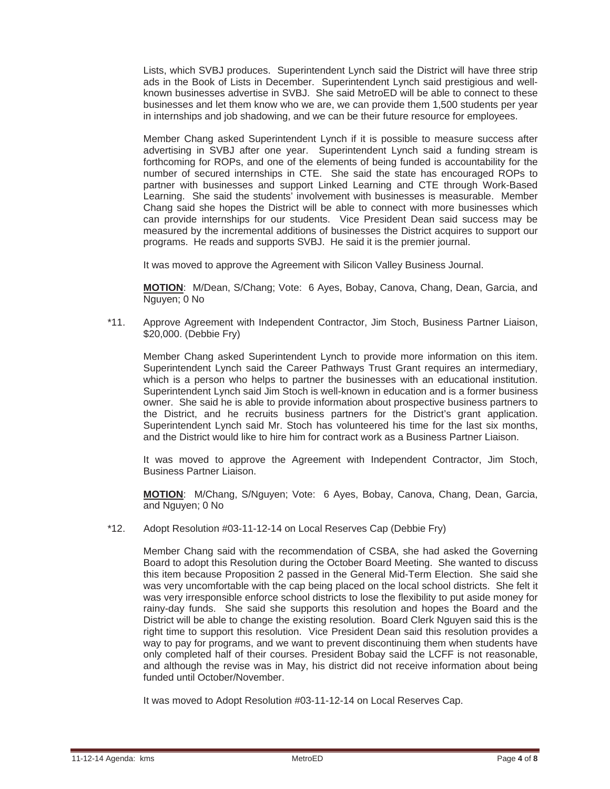Lists, which SVBJ produces. Superintendent Lynch said the District will have three strip ads in the Book of Lists in December. Superintendent Lynch said prestigious and wellknown businesses advertise in SVBJ. She said MetroED will be able to connect to these businesses and let them know who we are, we can provide them 1,500 students per year in internships and job shadowing, and we can be their future resource for employees.

 Member Chang asked Superintendent Lynch if it is possible to measure success after advertising in SVBJ after one year. Superintendent Lynch said a funding stream is forthcoming for ROPs, and one of the elements of being funded is accountability for the number of secured internships in CTE. She said the state has encouraged ROPs to partner with businesses and support Linked Learning and CTE through Work-Based Learning. She said the students' involvement with businesses is measurable. Member Chang said she hopes the District will be able to connect with more businesses which can provide internships for our students. Vice President Dean said success may be measured by the incremental additions of businesses the District acquires to support our programs. He reads and supports SVBJ. He said it is the premier journal.

It was moved to approve the Agreement with Silicon Valley Business Journal.

**MOTION**: M/Dean, S/Chang; Vote: 6 Ayes, Bobay, Canova, Chang, Dean, Garcia, and Nguyen; 0 No

 \*11. Approve Agreement with Independent Contractor, Jim Stoch, Business Partner Liaison, \$20,000. (Debbie Fry)

 Member Chang asked Superintendent Lynch to provide more information on this item. Superintendent Lynch said the Career Pathways Trust Grant requires an intermediary, which is a person who helps to partner the businesses with an educational institution. Superintendent Lynch said Jim Stoch is well-known in education and is a former business owner. She said he is able to provide information about prospective business partners to the District, and he recruits business partners for the District's grant application. Superintendent Lynch said Mr. Stoch has volunteered his time for the last six months, and the District would like to hire him for contract work as a Business Partner Liaison.

 It was moved to approve the Agreement with Independent Contractor, Jim Stoch, Business Partner Liaison.

**MOTION**: M/Chang, S/Nguyen; Vote: 6 Ayes, Bobay, Canova, Chang, Dean, Garcia, and Nguyen; 0 No

\*12. Adopt Resolution #03-11-12-14 on Local Reserves Cap (Debbie Fry)

 Member Chang said with the recommendation of CSBA, she had asked the Governing Board to adopt this Resolution during the October Board Meeting. She wanted to discuss this item because Proposition 2 passed in the General Mid-Term Election. She said she was very uncomfortable with the cap being placed on the local school districts. She felt it was very irresponsible enforce school districts to lose the flexibility to put aside money for rainy-day funds. She said she supports this resolution and hopes the Board and the District will be able to change the existing resolution. Board Clerk Nguyen said this is the right time to support this resolution. Vice President Dean said this resolution provides a way to pay for programs, and we want to prevent discontinuing them when students have only completed half of their courses. President Bobay said the LCFF is not reasonable, and although the revise was in May, his district did not receive information about being funded until October/November.

It was moved to Adopt Resolution #03-11-12-14 on Local Reserves Cap.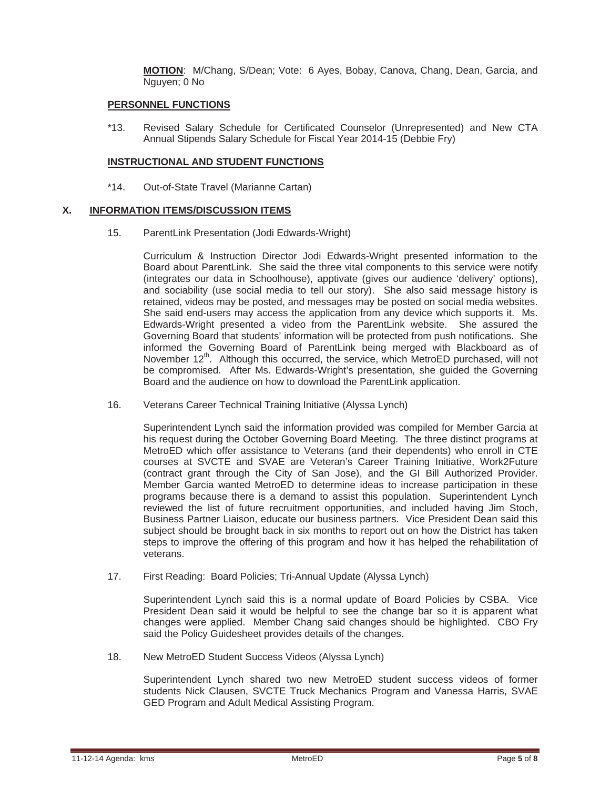**MOTION**: M/Chang, S/Dean; Vote: 6 Ayes, Bobay, Canova, Chang, Dean, Garcia, and Nguyen; 0 No

#### **PERSONNEL FUNCTIONS**

 \*13. Revised Salary Schedule for Certificated Counselor (Unrepresented) and New CTA Annual Stipends Salary Schedule for Fiscal Year 2014-15 (Debbie Fry)

#### **INSTRUCTIONAL AND STUDENT FUNCTIONS**

\*14. Out-of-State Travel (Marianne Cartan)

#### **X. INFORMATION ITEMS/DISCUSSION ITEMS**

15. ParentLink Presentation (Jodi Edwards-Wright)

 Curriculum & Instruction Director Jodi Edwards-Wright presented information to the Board about ParentLink. She said the three vital components to this service were notify (integrates our data in Schoolhouse), apptivate (gives our audience 'delivery' options), and sociability (use social media to tell our story). She also said message history is retained, videos may be posted, and messages may be posted on social media websites. She said end-users may access the application from any device which supports it. Ms. Edwards-Wright presented a video from the ParentLink website. She assured the Governing Board that students' information will be protected from push notifications. She informed the Governing Board of ParentLink being merged with Blackboard as of November 12<sup>th</sup>. Although this occurred, the service, which MetroED purchased, will not be compromised. After Ms. Edwards-Wright's presentation, she guided the Governing Board and the audience on how to download the ParentLink application.

16. Veterans Career Technical Training Initiative (Alyssa Lynch)

 Superintendent Lynch said the information provided was compiled for Member Garcia at his request during the October Governing Board Meeting. The three distinct programs at MetroED which offer assistance to Veterans (and their dependents) who enroll in CTE courses at SVCTE and SVAE are Veteran's Career Training Initiative, Work2Future (contract grant through the City of San Jose), and the GI Bill Authorized Provider. Member Garcia wanted MetroED to determine ideas to increase participation in these programs because there is a demand to assist this population. Superintendent Lynch reviewed the list of future recruitment opportunities, and included having Jim Stoch, Business Partner Liaison, educate our business partners. Vice President Dean said this subject should be brought back in six months to report out on how the District has taken steps to improve the offering of this program and how it has helped the rehabilitation of veterans.

17. First Reading: Board Policies; Tri-Annual Update (Alyssa Lynch)

 Superintendent Lynch said this is a normal update of Board Policies by CSBA. Vice President Dean said it would be helpful to see the change bar so it is apparent what changes were applied. Member Chang said changes should be highlighted. CBO Fry said the Policy Guidesheet provides details of the changes.

18. New MetroED Student Success Videos (Alyssa Lynch)

 Superintendent Lynch shared two new MetroED student success videos of former students Nick Clausen, SVCTE Truck Mechanics Program and Vanessa Harris, SVAE GED Program and Adult Medical Assisting Program.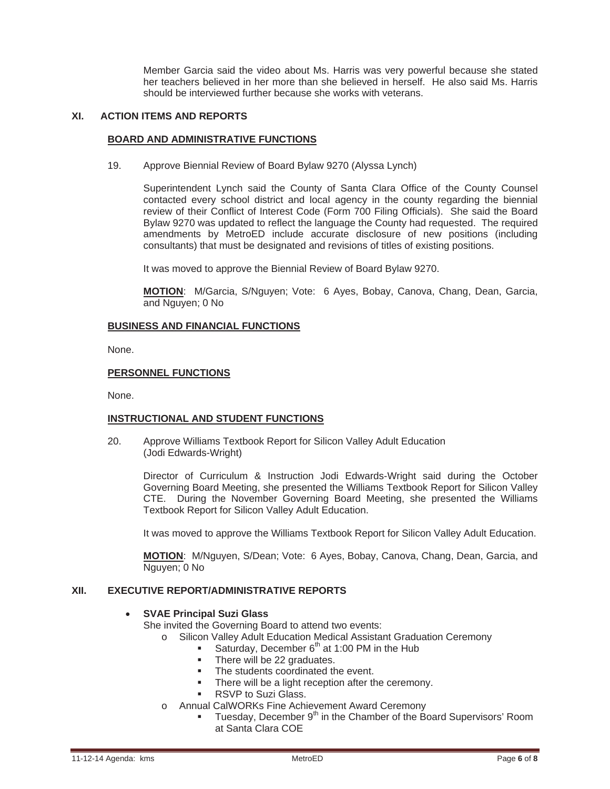Member Garcia said the video about Ms. Harris was very powerful because she stated her teachers believed in her more than she believed in herself. He also said Ms. Harris should be interviewed further because she works with veterans.

# **XI. ACTION ITEMS AND REPORTS**

#### **BOARD AND ADMINISTRATIVE FUNCTIONS**

19. Approve Biennial Review of Board Bylaw 9270 (Alyssa Lynch)

 Superintendent Lynch said the County of Santa Clara Office of the County Counsel contacted every school district and local agency in the county regarding the biennial review of their Conflict of Interest Code (Form 700 Filing Officials). She said the Board Bylaw 9270 was updated to reflect the language the County had requested. The required amendments by MetroED include accurate disclosure of new positions (including consultants) that must be designated and revisions of titles of existing positions.

It was moved to approve the Biennial Review of Board Bylaw 9270.

**MOTION**: M/Garcia, S/Nguyen; Vote: 6 Ayes, Bobay, Canova, Chang, Dean, Garcia, and Nguyen; 0 No

#### **BUSINESS AND FINANCIAL FUNCTIONS**

None.

#### **PERSONNEL FUNCTIONS**

None.

### **INSTRUCTIONAL AND STUDENT FUNCTIONS**

 20. Approve Williams Textbook Report for Silicon Valley Adult Education (Jodi Edwards-Wright)

> Director of Curriculum & Instruction Jodi Edwards-Wright said during the October Governing Board Meeting, she presented the Williams Textbook Report for Silicon Valley CTE. During the November Governing Board Meeting, she presented the Williams Textbook Report for Silicon Valley Adult Education.

> It was moved to approve the Williams Textbook Report for Silicon Valley Adult Education.

**MOTION**: M/Nguyen, S/Dean; Vote: 6 Ayes, Bobay, Canova, Chang, Dean, Garcia, and Nguyen; 0 No

#### **XII. EXECUTIVE REPORT/ADMINISTRATIVE REPORTS**

### x **SVAE Principal Suzi Glass**

She invited the Governing Board to attend two events:

- Silicon Valley Adult Education Medical Assistant Graduation Ceremony
	- Saturday, December  $6<sup>th</sup>$  at 1:00 PM in the Hub
	- There will be 22 graduates.
	- The students coordinated the event.
	- There will be a light reception after the ceremony.
	- RSVP to Suzi Glass.
- o Annual CalWORKs Fine Achievement Award Ceremony
	- **Tuesday, December 9<sup>th</sup> in the Chamber of the Board Supervisors' Room** at Santa Clara COE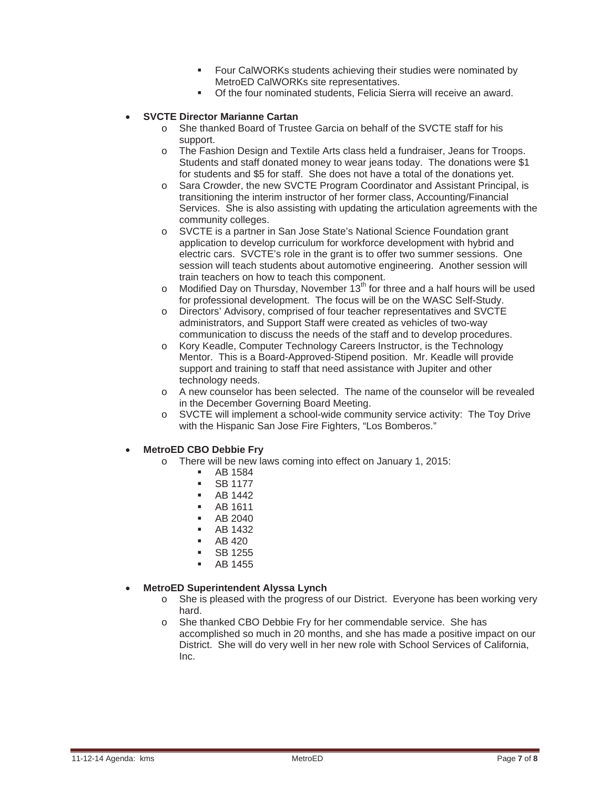- **Four CalWORKs students achieving their studies were nominated by** MetroED CalWORKs site representatives.
- Of the four nominated students, Felicia Sierra will receive an award.

# x **SVCTE Director Marianne Cartan**

- o She thanked Board of Trustee Garcia on behalf of the SVCTE staff for his support.
- o The Fashion Design and Textile Arts class held a fundraiser, Jeans for Troops. Students and staff donated money to wear jeans today. The donations were \$1 for students and \$5 for staff. She does not have a total of the donations yet.
- o Sara Crowder, the new SVCTE Program Coordinator and Assistant Principal, is transitioning the interim instructor of her former class, Accounting/Financial Services. She is also assisting with updating the articulation agreements with the community colleges.
- o SVCTE is a partner in San Jose State's National Science Foundation grant application to develop curriculum for workforce development with hybrid and electric cars. SVCTE's role in the grant is to offer two summer sessions. One session will teach students about automotive engineering. Another session will train teachers on how to teach this component.
- $\circ$  Modified Day on Thursday, November 13<sup>th</sup> for three and a half hours will be used for professional development. The focus will be on the WASC Self-Study.
- o Directors' Advisory, comprised of four teacher representatives and SVCTE administrators, and Support Staff were created as vehicles of two-way communication to discuss the needs of the staff and to develop procedures.
- o Kory Keadle, Computer Technology Careers Instructor, is the Technology Mentor. This is a Board-Approved-Stipend position. Mr. Keadle will provide support and training to staff that need assistance with Jupiter and other technology needs.
- o A new counselor has been selected. The name of the counselor will be revealed in the December Governing Board Meeting.
- o SVCTE will implement a school-wide community service activity: The Toy Drive with the Hispanic San Jose Fire Fighters, "Los Bomberos."

### x **MetroED CBO Debbie Fry**

- o There will be new laws coming into effect on January 1, 2015:
	- AB 1584
	- **SB 1177**
	- $-$  AB 1442
	- AB 1611
	- AB 2040
	- AB 1432
	- AB 420
	- SB 1255
	- **AB 1455**

### x **MetroED Superintendent Alyssa Lynch**

- o She is pleased with the progress of our District. Everyone has been working very hard.
- o She thanked CBO Debbie Fry for her commendable service. She has accomplished so much in 20 months, and she has made a positive impact on our District. She will do very well in her new role with School Services of California, Inc.